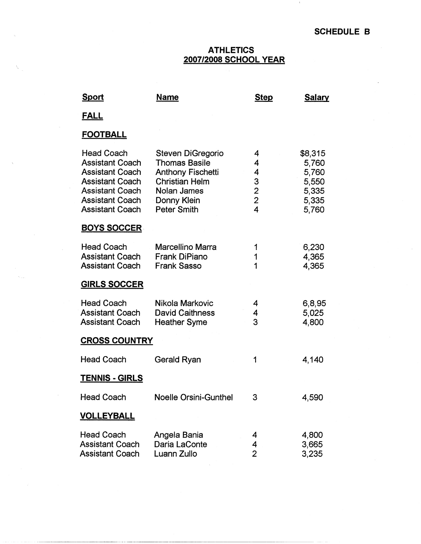$\pm$ 

## **ATHLETICS 2007/2008 SCHOOL YEAR**

| <u>Sport</u>                                                                                                                                                                  | <u>Name</u>                                                                                                                                        | <b>Step</b>                                                    | <b>Salary</b>                                                 |
|-------------------------------------------------------------------------------------------------------------------------------------------------------------------------------|----------------------------------------------------------------------------------------------------------------------------------------------------|----------------------------------------------------------------|---------------------------------------------------------------|
| <u>FALL</u>                                                                                                                                                                   |                                                                                                                                                    |                                                                |                                                               |
| <b>FOOTBALL</b>                                                                                                                                                               |                                                                                                                                                    |                                                                |                                                               |
| <b>Head Coach</b><br><b>Assistant Coach</b><br><b>Assistant Coach</b><br><b>Assistant Coach</b><br><b>Assistant Coach</b><br><b>Assistant Coach</b><br><b>Assistant Coach</b> | Steven DiGregorio<br><b>Thomas Basile</b><br><b>Anthony Fischetti</b><br><b>Christian Helm</b><br>Nolan James<br>Donny Klein<br><b>Peter Smith</b> | 4<br>4<br>4<br>$\begin{array}{c} 3 \\ 2 \\ 2 \\ 4 \end{array}$ | \$8,315<br>5,760<br>5,760<br>5,550<br>5,335<br>5,335<br>5,760 |
| <b>BOYS SOCCER</b>                                                                                                                                                            |                                                                                                                                                    |                                                                |                                                               |
| <b>Head Coach</b><br><b>Assistant Coach</b><br><b>Assistant Coach</b>                                                                                                         | <b>Marcellino Marra</b><br><b>Frank DiPiano</b><br><b>Frank Sasso</b>                                                                              | 1<br>1<br>1                                                    | 6,230<br>4,365<br>4,365                                       |
| <b>GIRLS SOCCER</b>                                                                                                                                                           |                                                                                                                                                    |                                                                |                                                               |
| <b>Head Coach</b><br><b>Assistant Coach</b><br><b>Assistant Coach</b>                                                                                                         | Nikola Markovic<br><b>David Caithness</b><br><b>Heather Syme</b>                                                                                   | 4<br>4<br>3                                                    | 6,8,95<br>5,025<br>4,800                                      |
| <b>CROSS COUNTRY</b>                                                                                                                                                          |                                                                                                                                                    |                                                                |                                                               |
| <b>Head Coach</b>                                                                                                                                                             | Gerald Ryan                                                                                                                                        | 1                                                              | 4,140                                                         |
| <b>TENNIS - GIRLS</b>                                                                                                                                                         |                                                                                                                                                    |                                                                |                                                               |
| <b>Head Coach</b>                                                                                                                                                             | <b>Noelle Orsini-Gunthel</b>                                                                                                                       | 3                                                              | 4,590                                                         |
| <b>VOLLEYBALL</b>                                                                                                                                                             |                                                                                                                                                    |                                                                |                                                               |
| <b>Head Coach</b><br><b>Assistant Coach</b><br><b>Assistant Coach</b>                                                                                                         | Angela Bania<br>Daria LaConte<br>Luann Zullo                                                                                                       | 4<br>4<br>$\overline{2}$                                       | 4,800<br>3,665<br>3,235                                       |